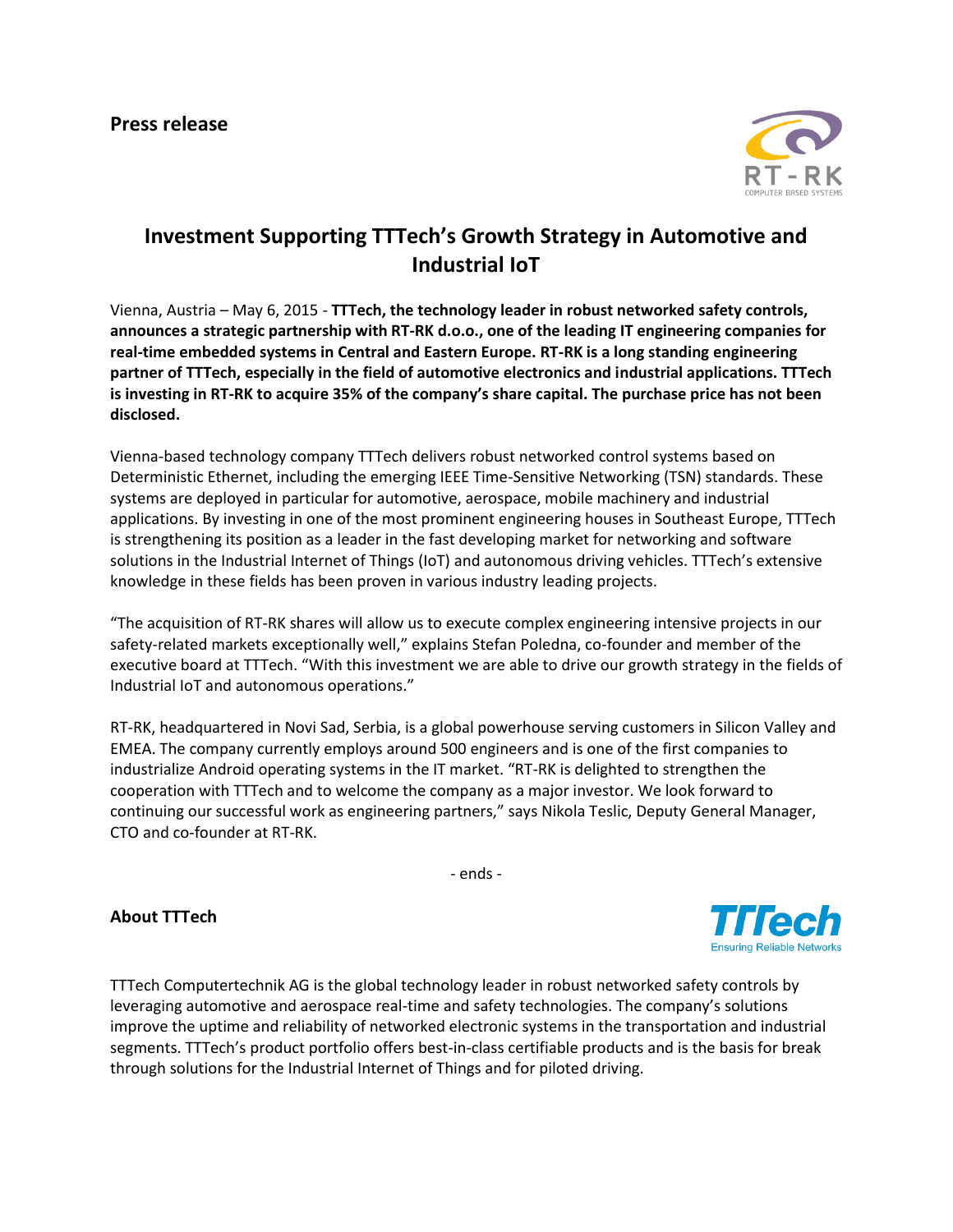

**Ensuring Reliable Networks** 

## **Investment Supporting TTTech's Growth Strategy in Automotive and Industrial IoT**

Vienna, Austria – May 6, 2015 - **TTTech, the technology leader in robust networked safety controls, announces a strategic partnership with RT-RK d.o.o., one of the leading IT engineering companies for real-time embedded systems in Central and Eastern Europe. RT-RK is a long standing engineering partner of TTTech, especially in the field of automotive electronics and industrial applications. TTTech is investing in RT-RK to acquire 35% of the company's share capital. The purchase price has not been disclosed.**

Vienna-based technology company TTTech delivers robust networked control systems based on Deterministic Ethernet, including the emerging IEEE Time-Sensitive Networking (TSN) standards. These systems are deployed in particular for automotive, aerospace, mobile machinery and industrial applications. By investing in one of the most prominent engineering houses in Southeast Europe, TTTech is strengthening its position as a leader in the fast developing market for networking and software solutions in the Industrial Internet of Things (IoT) and autonomous driving vehicles. TTTech's extensive knowledge in these fields has been proven in various industry leading projects.

"The acquisition of RT-RK shares will allow us to execute complex engineering intensive projects in our safety-related markets exceptionally well," explains Stefan Poledna, co-founder and member of the executive board at TTTech. "With this investment we are able to drive our growth strategy in the fields of Industrial IoT and autonomous operations."

RT-RK, headquartered in Novi Sad, Serbia, is a global powerhouse serving customers in Silicon Valley and EMEA. The company currently employs around 500 engineers and is one of the first companies to industrialize Android operating systems in the IT market. "RT-RK is delighted to strengthen the cooperation with TTTech and to welcome the company as a major investor. We look forward to continuing our successful work as engineering partners," says Nikola Teslic, Deputy General Manager, CTO and co-founder at RT-RK.

- ends -

## **About TTTech**

TTTech Computertechnik AG is the global technology leader in robust networked safety controls by leveraging automotive and aerospace real-time and safety technologies. The company's solutions improve the uptime and reliability of networked electronic systems in the transportation and industrial segments. TTTech's product portfolio offers best-in-class certifiable products and is the basis for break through solutions for the Industrial Internet of Things and for piloted driving.